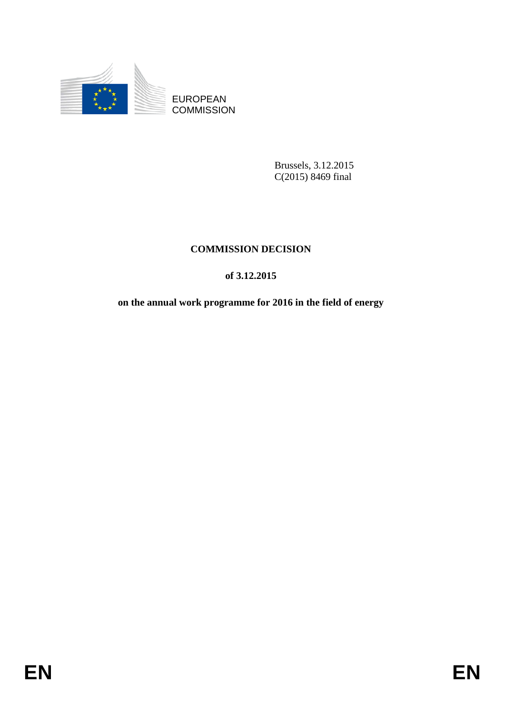

EUROPEAN **COMMISSION** 

> Brussels, 3.12.2015 C(2015) 8469 final

# **COMMISSION DECISION**

## **of 3.12.2015**

**on the annual work programme for 2016 in the field of energy**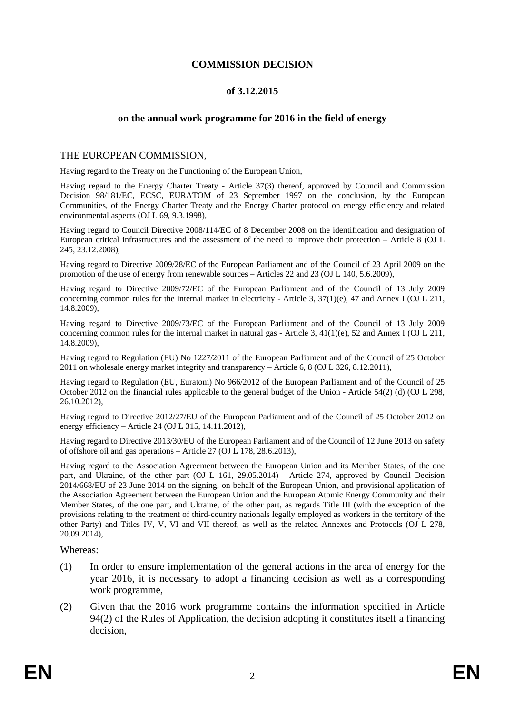#### **COMMISSION DECISION**

#### **of 3.12.2015**

#### **on the annual work programme for 2016 in the field of energy**

#### THE EUROPEAN COMMISSION,

Having regard to the Treaty on the Functioning of the European Union,

Having regard to the Energy Charter Treaty - Article 37(3) thereof, approved by Council and Commission Decision 98/181/EC, ECSC, EURATOM of 23 September 1997 on the conclusion, by the European Communities, of the Energy Charter Treaty and the Energy Charter protocol on energy efficiency and related environmental aspects (OJ L 69, 9.3.1998),

Having regard to Council Directive 2008/114/EC of 8 December 2008 on the identification and designation of European critical infrastructures and the assessment of the need to improve their protection – Article 8 (OJ L 245, 23.12.2008),

Having regard to Directive 2009/28/EC of the European Parliament and of the Council of 23 April 2009 on the promotion of the use of energy from renewable sources – Articles 22 and 23 (OJ L 140, 5.6.2009),

Having regard to Directive 2009/72/EC of the European Parliament and of the Council of 13 July 2009 concerning common rules for the internal market in electricity - Article 3, 37(1)(e), 47 and Annex I (OJ L 211, 14.8.2009),

Having regard to Directive 2009/73/EC of the European Parliament and of the Council of 13 July 2009 concerning common rules for the internal market in natural gas - Article 3, 41(1)(e), 52 and Annex I (OJ L 211, 14.8.2009),

Having regard to Regulation (EU) No 1227/2011 of the European Parliament and of the Council of 25 October 2011 on wholesale energy market integrity and transparency – Article 6, 8 (OJ L 326, 8.12.2011),

Having regard to Regulation (EU, Euratom) No 966/2012 of the European Parliament and of the Council of 25 October 2012 on the financial rules applicable to the general budget of the Union - Article 54(2) (d) (OJ L 298, 26.10.2012),

Having regard to Directive 2012/27/EU of the European Parliament and of the Council of 25 October 2012 on energy efficiency – Article 24 (OJ L 315, 14.11.2012),

Having regard to Directive 2013/30/EU of the European Parliament and of the Council of 12 June 2013 on safety of offshore oil and gas operations – Article 27 (OJ L 178, 28.6.2013),

Having regard to the Association Agreement between the European Union and its Member States, of the one part, and Ukraine, of the other part (OJ L 161, 29.05.2014) - Article 274, approved by Council Decision 2014/668/EU of 23 June 2014 on the signing, on behalf of the European Union, and provisional application of the Association Agreement between the European Union and the European Atomic Energy Community and their Member States, of the one part, and Ukraine, of the other part, as regards Title III (with the exception of the provisions relating to the treatment of third-country nationals legally employed as workers in the territory of the other Party) and Titles IV, V, VI and VII thereof, as well as the related Annexes and Protocols (OJ L 278, 20.09.2014),

Whereas:

- (1) In order to ensure implementation of the general actions in the area of energy for the year 2016, it is necessary to adopt a financing decision as well as a corresponding work programme,
- (2) Given that the 2016 work programme contains the information specified in Article 94(2) of the Rules of Application, the decision adopting it constitutes itself a financing decision,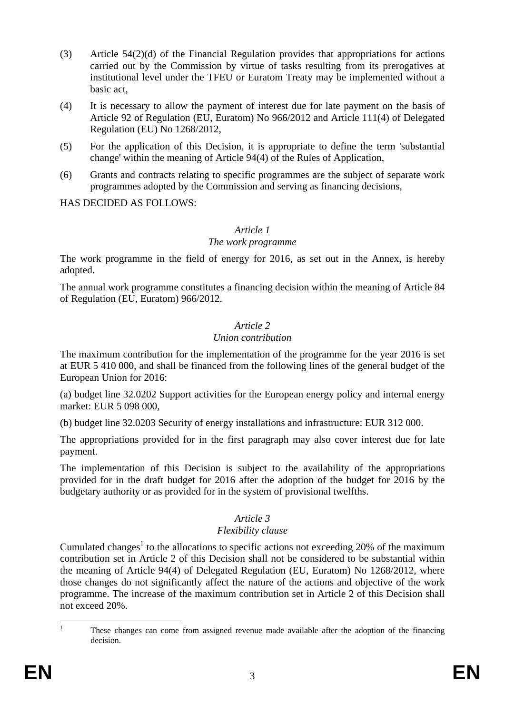- (3) Article 54(2)(d) of the Financial Regulation provides that appropriations for actions carried out by the Commission by virtue of tasks resulting from its prerogatives at institutional level under the TFEU or Euratom Treaty may be implemented without a basic act,
- (4) It is necessary to allow the payment of interest due for late payment on the basis of Article 92 of Regulation (EU, Euratom) No 966/2012 and Article 111(4) of Delegated Regulation (EU) No 1268/2012,
- (5) For the application of this Decision, it is appropriate to define the term 'substantial change' within the meaning of Article 94(4) of the Rules of Application,
- (6) Grants and contracts relating to specific programmes are the subject of separate work programmes adopted by the Commission and serving as financing decisions,

HAS DECIDED AS FOLLOWS:

## *Article 1*

## *The work programme*

The work programme in the field of energy for 2016, as set out in the Annex, is hereby adopted.

The annual work programme constitutes a financing decision within the meaning of Article 84 of Regulation (EU, Euratom) 966/2012.

#### *Article 2*

## *Union contribution*

The maximum contribution for the implementation of the programme for the year 2016 is set at EUR 5 410 000, and shall be financed from the following lines of the general budget of the European Union for 2016:

(a) budget line 32.0202 Support activities for the European energy policy and internal energy market: EUR 5 098 000,

(b) budget line 32.0203 Security of energy installations and infrastructure: EUR 312 000.

The appropriations provided for in the first paragraph may also cover interest due for late payment.

The implementation of this Decision is subject to the availability of the appropriations provided for in the draft budget for 2016 after the adoption of the budget for 2016 by the budgetary authority or as provided for in the system of provisional twelfths.

## *Article 3*

## *Flexibility clause*

Cumulated changes<sup>1</sup> to the allocations to specific actions not exceeding 20% of the maximum contribution set in Article 2 of this Decision shall not be considered to be substantial within the meaning of Article 94(4) of Delegated Regulation (EU, Euratom) No 1268/2012, where those changes do not significantly affect the nature of the actions and objective of the work programme. The increase of the maximum contribution set in Article 2 of this Decision shall not exceed 20%.

 $\frac{1}{1}$  These changes can come from assigned revenue made available after the adoption of the financing decision.